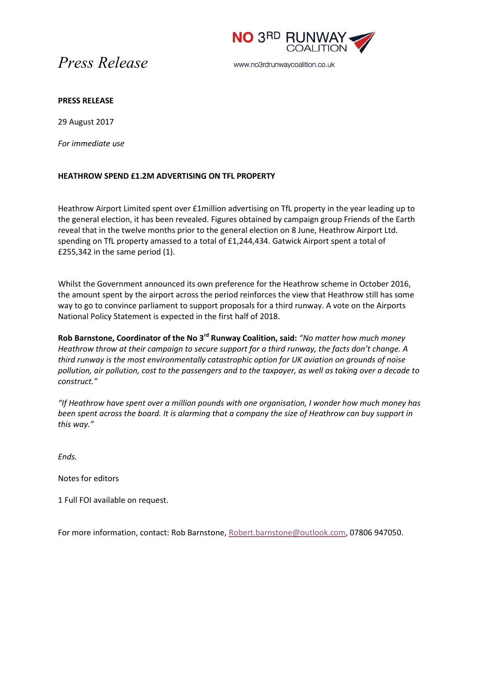



www.no3rdrunwaycoalition.co.uk

## **PRESS RELEASE**

29 August 2017

*For immediate use*

## **HEATHROW SPEND £1.2M ADVERTISING ON TFL PROPERTY**

Heathrow Airport Limited spent over £1million advertising on TfL property in the year leading up to the general election, it has been revealed. Figures obtained by campaign group Friends of the Earth reveal that in the twelve months prior to the general election on 8 June, Heathrow Airport Ltd. spending on TfL property amassed to a total of £1,244,434. Gatwick Airport spent a total of £255,342 in the same period (1).

Whilst the Government announced its own preference for the Heathrow scheme in October 2016, the amount spent by the airport across the period reinforces the view that Heathrow still has some way to go to convince parliament to support proposals for a third runway. A vote on the Airports National Policy Statement is expected in the first half of 2018.

**Rob Barnstone, Coordinator of the No 3rd Runway Coalition, said:** *"No matter how much money Heathrow throw at their campaign to secure support for a third runway, the facts don't change. A third runway is the most environmentally catastrophic option for UK aviation on grounds of noise pollution, air pollution, cost to the passengers and to the taxpayer, as well as taking over a decade to construct."*

*"If Heathrow have spent over a million pounds with one organisation, I wonder how much money has been spent across the board. It is alarming that a company the size of Heathrow can buy support in this way."*

*Ends.*

Notes for editors

1 Full FOI available on request.

For more information, contact: Rob Barnstone, [Robert.barnstone@outlook.com,](mailto:Robert.barnstone@outlook.com) 07806 947050.